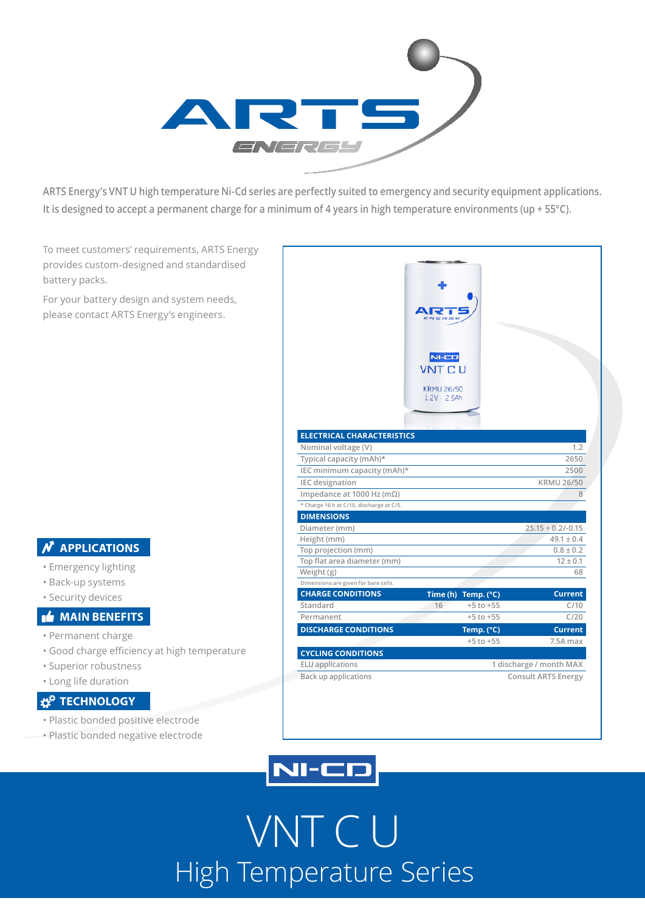

**ARTS Energy's VNT U high temperature Ni-Cd series are perfectly suited to emergency and security equipment applications. It is designed to accept a permanent charge for a minimum of 4 years in high temperature environments (up + 55°C).**

To meet customers' requirements, ARTS Energy provides custom-designed and standardised battery packs.

For your battery design and system needs, please contact ARTS Energy's engineers.

### **N** APPLICATIONS

- Emergency lighting
- Back-up systems
- Security devices

### **MAIN BENEFITS**

- Permanent charge
- Good charge efficiency at high temperature
- Superior robustness
- Long life duration

### **TECHNOLOGY**

- Plastic bonded positive electrode
- Plastic bonded negative electrode

|                                          | $NI-CD$                 |                     |
|------------------------------------------|-------------------------|---------------------|
|                                          | <b>VNT CU</b>           |                     |
|                                          | <b>KRMU 26/50</b>       |                     |
|                                          | $1.2V - 2.5Ah$          |                     |
|                                          |                         |                     |
|                                          |                         |                     |
| <b>ELECTRICAL CHARACTERISTICS</b>        |                         |                     |
| Nominal voltage (V)                      |                         | 1.2                 |
| Typical capacity (mAh)*                  |                         | 2650                |
| IEC minimum capacity (mAh)*              |                         | 2500                |
| <b>IEC</b> designation                   |                         | <b>KRMU 26/50</b>   |
| Impedance at 1000 Hz (m $\Omega$ )       |                         | 8                   |
| * Charge 16 h at C/10, discharge at C/5. |                         |                     |
| <b>DIMENSIONS</b>                        |                         |                     |
| Diameter (mm)                            |                         | $25.15 + 0.2/-0.15$ |
| Height (mm)                              |                         | $49.1 \pm 0.4$      |
| Top projection (mm)                      |                         | $0.8 \pm 0.2$       |
| Top flat area diameter (mm)              |                         | $12 \pm 0.1$        |
| Weight (g)                               |                         | 68                  |
| Dimensions are given for bare cells.     |                         |                     |
| <b>CHARGE CONDITIONS</b>                 | Time (h) Temp. (°C)     | <b>Current</b>      |
| Standard                                 | 16<br>$+5$ to $+55$     | C/10                |
| Permanent                                | $+5$ to $+55$           | C/20                |
| <b>DISCHARGE CONDITIONS</b>              | Temp. (°C)              | <b>Current</b>      |
|                                          | $+5$ to $+55$           | 7.5A max            |
| <b>CYCLING CONDITIONS</b>                |                         |                     |
| <b>ELU</b> applications                  | 1 discharge / month MAX |                     |
| <b>Back up applications</b>              | Consult ARTS Energy     |                     |



# VNT C U High Temperature Series